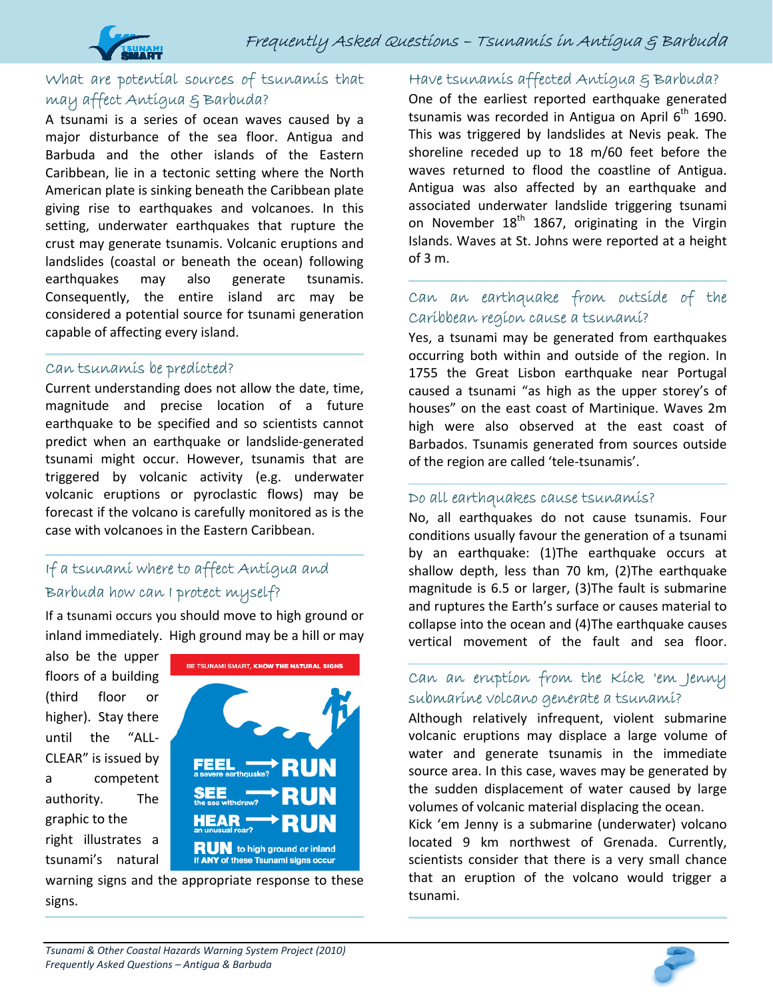

i

# What are potential sources of tsunamis that may affect Antigua & Barbuda?

A tsunami is a series of ocean waves caused by a major disturbance of the sea floor. Antigua and Barbuda and the other islands of the Eastern Caribbean, lie in a tectonic setting where the North American plate is sinking beneath the Caribbean plate giving rise to earthquakes and volcanoes. In this setting, underwater earthquakes that rupture the crust may generate tsunamis. Volcanic eruptions and landslides (coastal or beneath the ocean) following earthquakes may also generate tsunamis. Consequently, the entire island arc may be considered a potential source for tsunami generation capable of affecting every island.

#### Can tsunamis be predicted?

Current understanding does not allow the date, time, magnitude and precise location of a future earthquake to be specified and so scientists cannot predict when an earthquake or landslide‐generated tsunami might occur. However, tsunamis that are triggered by volcanic activity (e.g. underwater volcanic eruptions or pyroclastic flows) may be forecast if the volcano is carefully monitored as is the case with volcanoes in the Eastern Caribbean.

# If a tsunami where to affect Antigua and Barbuda how can I protect myself?

If a tsunami occurs you should move to high ground or inland immediately. High ground may be a hill or may

also be the upper floors of a building (third floor or higher). Stay there until the "ALL‐ CLEAR" is issued by a competent authority. The graphic to the right illustrates a tsunami's natural



warning signs and the appropriate response to these signs.

### Have tsunamis affected Antigua & Barbuda?

One of the earliest reported earthquake generated tsunamis was recorded in Antigua on April  $6<sup>th</sup>$  1690. This was triggered by landslides at Nevis peak. The shoreline receded up to 18 m/60 feet before the waves returned to flood the coastline of Antigua. Antigua was also affected by an earthquake and associated underwater landslide triggering tsunami on November  $18<sup>th</sup>$  1867, originating in the Virgin Islands. Waves at St. Johns were reported at a height of 3 m.

### Can an earthquake from outside of the Caribbean region cause a tsunami?

Yes, a tsunami may be generated from earthquakes occurring both within and outside of the region. In 1755 the Great Lisbon earthquake near Portugal caused a tsunami "as high as the upper storey's of houses" on the east coast of Martinique. Waves 2m high were also observed at the east coast of Barbados. Tsunamis generated from sources outside of the region are called 'tele‐tsunamis'.

#### Do all earthquakes cause tsunamis?

No, all earthquakes do not cause tsunamis. Four conditions usually favour the generation of a tsunami by an earthquake: (1)The earthquake occurs at shallow depth, less than 70 km, (2)The earthquake magnitude is 6.5 or larger, (3)The fault is submarine and ruptures the Earth's surface or causes material to collapse into the ocean and (4)The earthquake causes vertical movement of the fault and sea floor.

### Can an eruption from the Kick 'em Jenny submarine volcano generate a tsunami?

Although relatively infrequent, violent submarine volcanic eruptions may displace a large volume of water and generate tsunamis in the immediate source area. In this case, waves may be generated by the sudden displacement of water caused by large volumes of volcanic material displacing the ocean.

Kick 'em Jenny is a submarine (underwater) volcano located 9 km northwest of Grenada. Currently, scientists consider that there is a very small chance that an eruption of the volcano would trigger a tsunami.